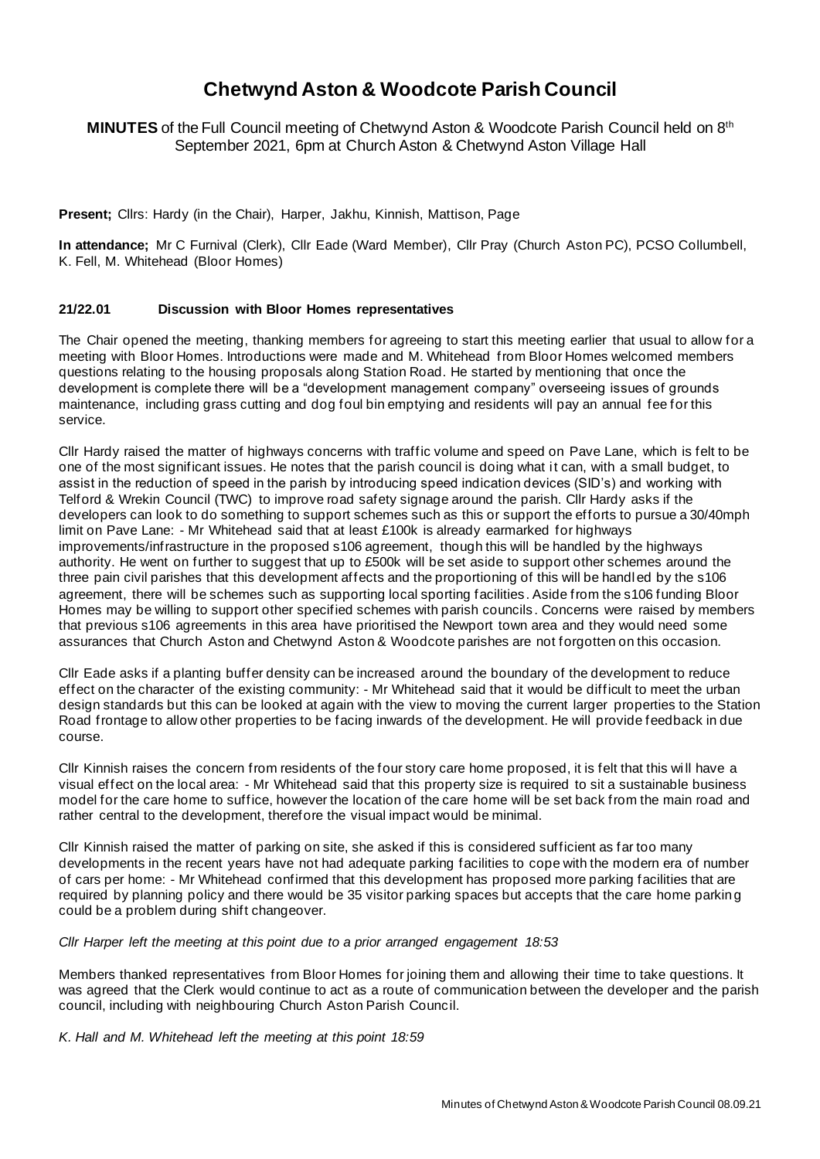# **Chetwynd Aston & Woodcote Parish Council**

**MINUTES** of the Full Council meeting of Chetwynd Aston & Woodcote Parish Council held on 8th September 2021, 6pm at Church Aston & Chetwynd Aston Village Hall

**Present;** Cllrs: Hardy (in the Chair), Harper, Jakhu, Kinnish, Mattison, Page

**In attendance;** Mr C Furnival (Clerk), Cllr Eade (Ward Member), Cllr Pray (Church Aston PC), PCSO Collumbell, K. Fell, M. Whitehead (Bloor Homes)

# **21/22.01 Discussion with Bloor Homes representatives**

The Chair opened the meeting, thanking members for agreeing to start this meeting earlier that usual to allow for a meeting with Bloor Homes. Introductions were made and M. Whitehead from Bloor Homes welcomed members questions relating to the housing proposals along Station Road. He started by mentioning that once the development is complete there will be a "development management company" overseeing issues of grounds maintenance, including grass cutting and dog foul bin emptying and residents will pay an annual fee for this service.

Cllr Hardy raised the matter of highways concerns with traffic volume and speed on Pave Lane, which is felt to be one of the most significant issues. He notes that the parish council is doing what it can, with a small budget, to assist in the reduction of speed in the parish by introducing speed indication devices (SID's) and working with Telford & Wrekin Council (TWC) to improve road safety signage around the parish. Cllr Hardy asks if the developers can look to do something to support schemes such as this or support the efforts to pursue a 30/40mph limit on Pave Lane: - Mr Whitehead said that at least £100k is already earmarked for highways improvements/infrastructure in the proposed s106 agreement, though this will be handled by the highways authority. He went on further to suggest that up to £500k will be set aside to support other schemes around the three pain civil parishes that this development affects and the proportioning of this will be handled by the s106 agreement, there will be schemes such as supporting local sporting facilities . Aside from the s106 funding Bloor Homes may be willing to support other specified schemes with parish councils . Concerns were raised by members that previous s106 agreements in this area have prioritised the Newport town area and they would need some assurances that Church Aston and Chetwynd Aston & Woodcote parishes are not forgotten on this occasion.

Cllr Eade asks if a planting buffer density can be increased around the boundary of the development to reduce effect on the character of the existing community: - Mr Whitehead said that it would be difficult to meet the urban design standards but this can be looked at again with the view to moving the current larger properties to the Station Road frontage to allow other properties to be facing inwards of the development. He will provide feedback in due course.

Cllr Kinnish raises the concern from residents of the four story care home proposed, it is felt that this wi ll have a visual effect on the local area: - Mr Whitehead said that this property size is required to sit a sustainable business model for the care home to suffice, however the location of the care home will be set back from the main road and rather central to the development, therefore the visual impact would be minimal.

Cllr Kinnish raised the matter of parking on site, she asked if this is considered sufficient as far too many developments in the recent years have not had adequate parking facilities to cope with the modern era of number of cars per home: - Mr Whitehead confirmed that this development has proposed more parking facilities that are required by planning policy and there would be 35 visitor parking spaces but accepts that the care home parking could be a problem during shift changeover.

*Cllr Harper left the meeting at this point due to a prior arranged engagement 18:53*

Members thanked representatives from Bloor Homes for joining them and allowing their time to take questions. It was agreed that the Clerk would continue to act as a route of communication between the developer and the parish council, including with neighbouring Church Aston Parish Council.

*K. Hall and M. Whitehead left the meeting at this point 18:59*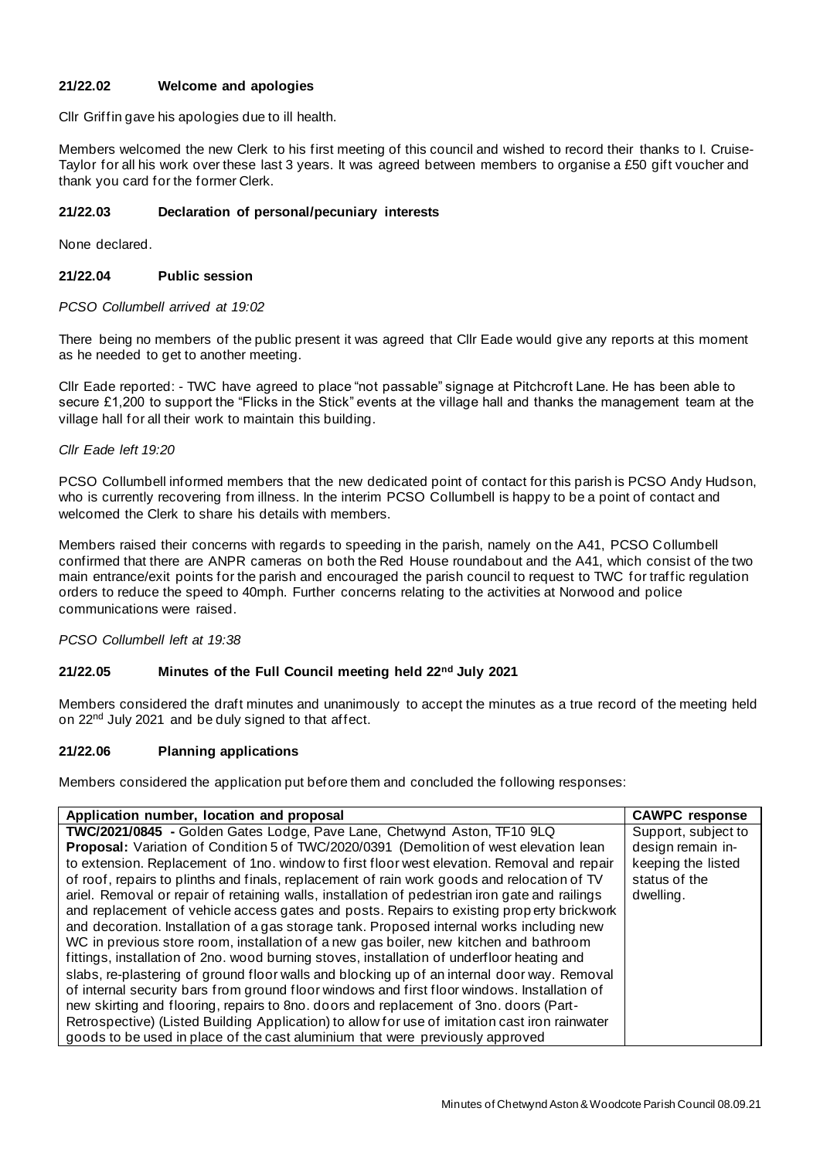# **21/22.02 Welcome and apologies**

Cllr Griffin gave his apologies due to ill health.

Members welcomed the new Clerk to his first meeting of this council and wished to record their thanks to I. Cruise-Taylor for all his work over these last 3 years. It was agreed between members to organise a £50 gift voucher and thank you card for the former Clerk.

# **21/22.03 Declaration of personal/pecuniary interests**

None declared.

# **21/22.04 Public session**

## *PCSO Collumbell arrived at 19:02*

There being no members of the public present it was agreed that Cllr Eade would give any reports at this moment as he needed to get to another meeting.

Cllr Eade reported: - TWC have agreed to place "not passable" signage at Pitchcroft Lane. He has been able to secure £1,200 to support the "Flicks in the Stick" events at the village hall and thanks the management team at the village hall for all their work to maintain this building.

## *Cllr Eade left 19:20*

PCSO Collumbell informed members that the new dedicated point of contact for this parish is PCSO Andy Hudson, who is currently recovering from illness. In the interim PCSO Collumbell is happy to be a point of contact and welcomed the Clerk to share his details with members.

Members raised their concerns with regards to speeding in the parish, namely on the A41, PCSO Collumbell confirmed that there are ANPR cameras on both the Red House roundabout and the A41, which consist of the two main entrance/exit points for the parish and encouraged the parish council to request to TWC for traffic regulation orders to reduce the speed to 40mph. Further concerns relating to the activities at Norwood and police communications were raised.

*PCSO Collumbell left at 19:38*

# **21/22.05 Minutes of the Full Council meeting held 22nd July 2021**

Members considered the draft minutes and unanimously to accept the minutes as a true record of the meeting held on 22<sup>nd</sup> July 2021 and be duly signed to that affect.

# **21/22.06 Planning applications**

Members considered the application put before them and concluded the following responses:

| Application number, location and proposal                                                      | <b>CAWPC</b> response |
|------------------------------------------------------------------------------------------------|-----------------------|
| TWC/2021/0845 - Golden Gates Lodge, Pave Lane, Chetwynd Aston, TF10 9LQ                        | Support, subject to   |
| Proposal: Variation of Condition 5 of TWC/2020/0391 (Demolition of west elevation lean         | design remain in-     |
| to extension. Replacement of 1no. window to first floor west elevation. Removal and repair     | keeping the listed    |
| of roof, repairs to plinths and finals, replacement of rain work goods and relocation of TV    | status of the         |
| ariel. Removal or repair of retaining walls, installation of pedestrian iron gate and railings | dwelling.             |
| and replacement of vehicle access gates and posts. Repairs to existing property brickwork      |                       |
| and decoration. Installation of a gas storage tank. Proposed internal works including new      |                       |
| WC in previous store room, installation of a new gas boiler, new kitchen and bathroom          |                       |
| fittings, installation of 2no. wood burning stoves, installation of underfloor heating and     |                       |
| slabs, re-plastering of ground floor walls and blocking up of an internal door way. Removal    |                       |
| of internal security bars from ground floor windows and first floor windows. Installation of   |                       |
| new skirting and flooring, repairs to 8no. doors and replacement of 3no. doors (Part-          |                       |
| Retrospective) (Listed Building Application) to allow for use of imitation cast iron rainwater |                       |
| goods to be used in place of the cast aluminium that were previously approved                  |                       |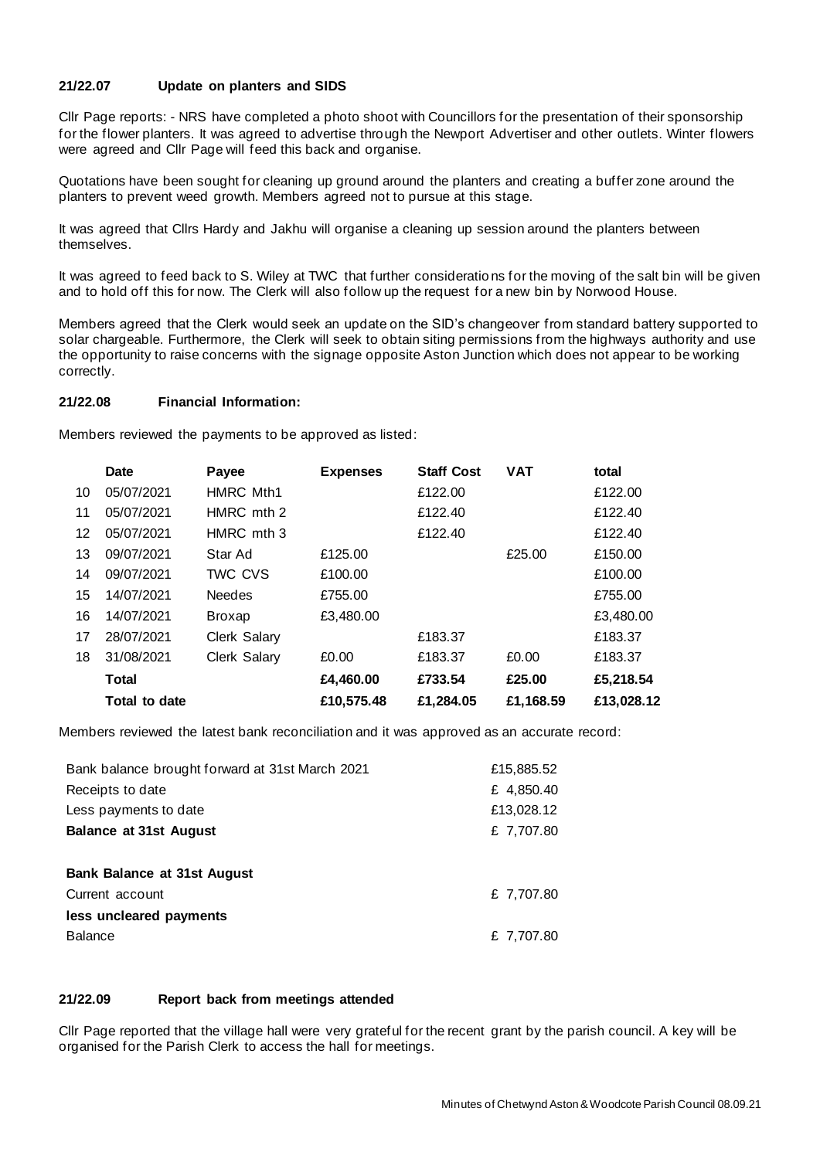# **21/22.07 Update on planters and SIDS**

Cllr Page reports: - NRS have completed a photo shoot with Councillors for the presentation of their sponsorship for the flower planters. It was agreed to advertise through the Newport Advertiser and other outlets. Winter flowers were agreed and Cllr Page will feed this back and organise.

Quotations have been sought for cleaning up ground around the planters and creating a buffer zone around the planters to prevent weed growth. Members agreed not to pursue at this stage.

It was agreed that Cllrs Hardy and Jakhu will organise a cleaning up session around the planters between themselves.

It was agreed to feed back to S. Wiley at TWC that further considerations for the moving of the salt bin will be given and to hold off this for now. The Clerk will also follow up the request for a new bin by Norwood House.

Members agreed that the Clerk would seek an update on the SID's changeover from standard battery supported to solar chargeable. Furthermore, the Clerk will seek to obtain siting permissions from the highways authority and use the opportunity to raise concerns with the signage opposite Aston Junction which does not appear to be working correctly.

## **21/22.08 Financial Information:**

Members reviewed the payments to be approved as listed:

|         | Date          | Payee            | <b>Expenses</b> | <b>Staff Cost</b> | <b>VAT</b> | total      |
|---------|---------------|------------------|-----------------|-------------------|------------|------------|
| 10      | 05/07/2021    | <b>HMRC Mth1</b> |                 | £122.00           |            | £122.00    |
| 11      | 05/07/2021    | HMRC mth 2       |                 | £122.40           |            | £122.40    |
| $12 \,$ | 05/07/2021    | HMRC mth 3       |                 | £122.40           |            | £122.40    |
| 13      | 09/07/2021    | Star Ad          | £125.00         |                   | £25.00     | £150.00    |
| 14      | 09/07/2021    | TWC CVS          | £100.00         |                   |            | £100.00    |
| 15      | 14/07/2021    | <b>Needes</b>    | £755.00         |                   |            | £755.00    |
| 16      | 14/07/2021    | <b>Broxap</b>    | £3,480.00       |                   |            | £3,480.00  |
| 17      | 28/07/2021    | Clerk Salary     |                 | £183.37           |            | £183.37    |
| 18      | 31/08/2021    | Clerk Salary     | £0.00           | £183.37           | £0.00      | £183.37    |
|         | <b>Total</b>  |                  | £4,460.00       | £733.54           | £25.00     | £5,218.54  |
|         | Total to date |                  | £10,575.48      | £1,284.05         | £1,168.59  | £13,028.12 |

Members reviewed the latest bank reconciliation and it was approved as an accurate record:

| Bank balance brought forward at 31st March 2021 | £15,885.52 |
|-------------------------------------------------|------------|
| Receipts to date                                | £ 4,850.40 |
| Less payments to date                           | £13,028.12 |
| <b>Balance at 31st August</b>                   | £ 7,707.80 |
|                                                 |            |
| Bank Balance at 31st August                     |            |
| Current account                                 | £ 7,707.80 |
| less uncleared payments                         |            |
| <b>Balance</b>                                  | £ 7,707.80 |

## **21/22.09 Report back from meetings attended**

Cllr Page reported that the village hall were very grateful for the recent grant by the parish council. A key will be organised for the Parish Clerk to access the hall for meetings.